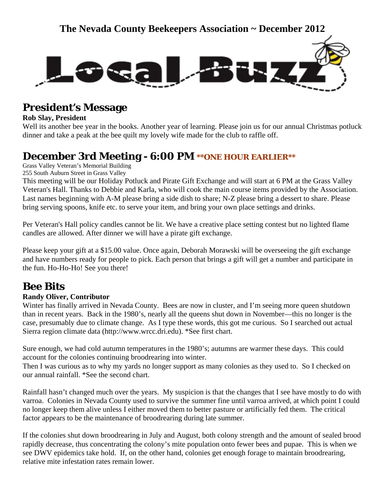

## **President's Message**

#### **Rob Slay, President**

Well its another bee year in the books. Another year of learning. Please join us for our annual Christmas potluck dinner and take a peak at the bee quilt my lovely wife made for the club to raffle off.

## **December 3rd Meeting - 6:00 PM \*\*ONE HOUR EARLIER\*\***

Grass Valley Veteran's Memorial Building

255 South Auburn Street in Grass Valley

This meeting will be our Holiday Potluck and Pirate Gift Exchange and will start at 6 PM at the Grass Valley Veteran's Hall. Thanks to Debbie and Karla, who will cook the main course items provided by the Association. Last names beginning with A-M please bring a side dish to share; N-Z please bring a dessert to share. Please bring serving spoons, knife etc. to serve your item, and bring your own place settings and drinks.

Per Veteran's Hall policy candles cannot be lit. We have a creative place setting contest but no lighted flame candles are allowed. After dinner we will have a pirate gift exchange.

Please keep your gift at a \$15.00 value. Once again, Deborah Morawski will be overseeing the gift exchange and have numbers ready for people to pick. Each person that brings a gift will get a number and participate in the fun. Ho-Ho-Ho! See you there!

## **Bee Bits**

#### **Randy Oliver, Contributor**

Winter has finally arrived in Nevada County. Bees are now in cluster, and I'm seeing more queen shutdown than in recent years. Back in the 1980's, nearly all the queens shut down in November—this no longer is the case, presumably due to climate change. As I type these words, this got me curious. So I searched out actual Sierra region climate data (http://www.wrcc.dri.edu). \*See first chart.

Sure enough, we had cold autumn temperatures in the 1980's; autumns are warmer these days. This could account for the colonies continuing broodrearing into winter.

Then I was curious as to why my yards no longer support as many colonies as they used to. So I checked on our annual rainfall. \*See the second chart.

Rainfall hasn't changed much over the years. My suspicion is that the changes that I see have mostly to do with varroa. Colonies in Nevada County used to survive the summer fine until varroa arrived, at which point I could no longer keep them alive unless I either moved them to better pasture or artificially fed them. The critical factor appears to be the maintenance of broodrearing during late summer.

If the colonies shut down broodrearing in July and August, both colony strength and the amount of sealed brood rapidly decrease, thus concentrating the colony's mite population onto fewer bees and pupae. This is when we see DWV epidemics take hold. If, on the other hand, colonies get enough forage to maintain broodrearing, relative mite infestation rates remain lower.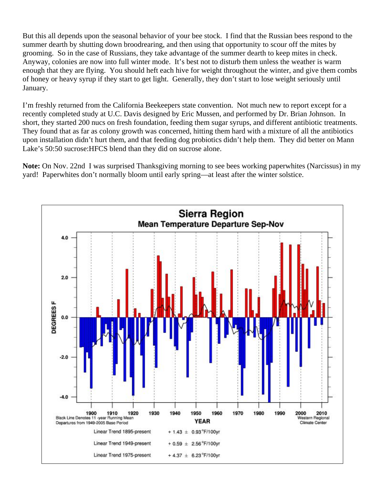But this all depends upon the seasonal behavior of your bee stock. I find that the Russian bees respond to the summer dearth by shutting down broodrearing, and then using that opportunity to scour off the mites by grooming. So in the case of Russians, they take advantage of the summer dearth to keep mites in check. Anyway, colonies are now into full winter mode. It's best not to disturb them unless the weather is warm enough that they are flying. You should heft each hive for weight throughout the winter, and give them combs of honey or heavy syrup if they start to get light. Generally, they don't start to lose weight seriously until January.

I'm freshly returned from the California Beekeepers state convention. Not much new to report except for a recently completed study at U.C. Davis designed by Eric Mussen, and performed by Dr. Brian Johnson. In short, they started 200 nucs on fresh foundation, feeding them sugar syrups, and different antibiotic treatments. They found that as far as colony growth was concerned, hitting them hard with a mixture of all the antibiotics upon installation didn't hurt them, and that feeding dog probiotics didn't help them. They did better on Mann Lake's 50:50 sucrose:HFCS blend than they did on sucrose alone.

**Note:** On Nov. 22nd I was surprised Thanksgiving morning to see bees working paperwhites (Narcissus) in my yard! Paperwhites don't normally bloom until early spring—at least after the winter solstice.

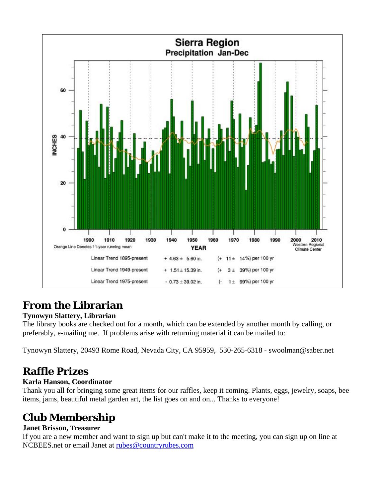

## **From the Librarian**

### **Tynowyn Slattery, Librarian**

The library books are checked out for a month, which can be extended by another month by calling, or preferably, e-mailing me. If problems arise with returning material it can be mailed to:

Tynowyn Slattery, 20493 Rome Road, Nevada City, CA 95959, 530-265-6318 - swoolman@saber.net

# **Raffle Prizes**

### **Karla Hanson, Coordinator**

Thank you all for bringing some great items for our raffles, keep it coming. Plants, eggs, jewelry, soaps, bee items, jams, beautiful metal garden art, the list goes on and on... Thanks to everyone!

# **Club Membership**

### **Janet Brisson, Treasurer**

If you are a new member and want to sign up but can't make it to the meeting, you can sign up on line at NCBEES.net or email Janet at [rubes@countryrubes.com](mailto:rubes@countryrubes.com)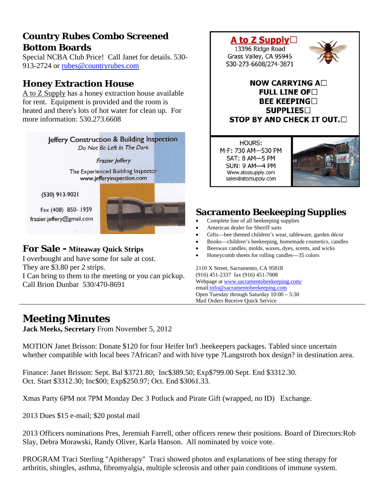## **Country Rubes Combo Screened Bottom Boards**

Special NCBA Club Price! Call Janet [f](mailto:rubes@countryrubes.com)or details. 530- 913-2724 or [rubes@countryrubes.com](mailto:rubes@countryrubes.com)

### **Honey Extraction House**

A to Z Supply has a honey extraction house available for rent. Equipment is provided and the room is heated and there's lots of hot water for clean up. For more information: 530.273.6608



I overbought and have some for sale at cost. They are \$3.80 per 2 strips. I Can bring to them to the meeting or you can pickup. Call Brion Dunbar 530/470-8691



- American dealer for Sheriff suits
- Gifts—bee themed children's wear, tableware, garden décor
- Books—children's beekeeping, homemade cosmetics, candles
- Beeswax candles, molds, waxes, dyes, scents, and wicks
- Honeycomb sheets for rolling candles—35 colors

2110 X Street, Sacramento, CA 95818 (916) 451-2337 fax (916) 451-7008 Webpage at [www.sacramentobeekeeping.com/](http://www.sacramentobeekeeping.com/) email:[info@sacramentobeekeeping.com](mailto:%20info@sacramentobeekeeping.com) Open Tuesday through Saturday 10:00 – 5:30 Mail Orders Receive Quick Service

# **Meeting Minutes**

**Jack Meeks, Secretary** From November 5, 2012

MOTION Janet Brisson: Donate \$120 for four Heifer Int'l .beekeepers packages. Tabled since uncertain whether compatible with local bees ?African? and with hive type ?Langstroth box design? in destination area.

Finance: Janet Brisson: Sept. Bal \$3721.80; Inc\$389.50; Exp\$799.00 Sept. End \$3312.30. Oct. Start \$3312.30; Inc\$00; Exp\$250.97; Oct. End \$3061.33.

Xmas Party 6PM not 7PM Monday Dec 3 Potluck and Pirate Gift (wrapped, no ID) Exchange.

2013 Dues \$15 e-mail; \$20 postal mail

2013 Officers nominations Pres, Jeremiah Farrell, other officers renew their positions. Board of Directors:Rob Slay, Debra Morawski, Randy Oliver, Karla Hanson. All nominated by voice vote.

PROGRAM Traci Sterling "Apitherapy" Traci showed photos and explanations of bee sting therapy for arthritis, shingles, asthma, fibromyalgia, multiple sclerosis and other pain conditions of immune system.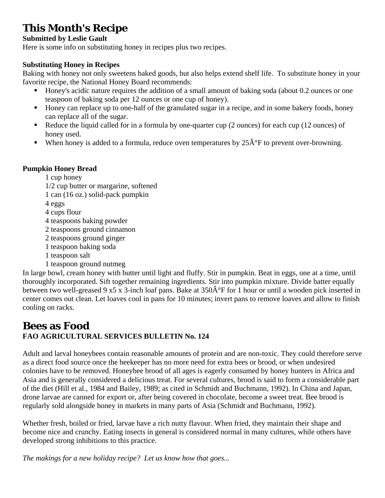# **This Month's Recipe**

### **Submitted by Leslie Gault**

Here is some info on substituting honey in recipes plus two recipes.

### **Substituting Honey in Recipes**

Baking with honey not only sweetens baked goods, but also helps extend shelf life. To substitute honey in your favorite recipe, the National Honey Board recommends:

- Honey's acidic nature requires the addition of a small amount of baking soda (about 0.2 ounces or one teaspoon of baking soda per 12 ounces or one cup of honey).
- Honey can replace up to one-half of the granulated sugar in a recipe, and in some bakery foods, honey can replace all of the sugar.
- Reduce the liquid called for in a formula by one-quarter cup  $(2 \text{ ounces})$  for each cup  $(12 \text{ ounces})$  of honey used.
- When honey is added to a formula, reduce oven temperatures by  $25\hat{A}^{\circ}F$  to prevent over-browning.

### **Pumpkin Honey Bread**

1 cup honey

1/2 cup butter or margarine, softened

1 can (16 oz.) solid-pack pumpkin

4 eggs

- 4 cups flour
- 4 teaspoons baking powder
- 2 teaspoons ground cinnamon
- 2 teaspoons ground ginger
- 1 teaspoon baking soda
- 1 teaspoon salt
- 1 teaspoon ground nutmeg

In large bowl, cream honey with butter until light and fluffy. Stir in pumpkin. Beat in eggs, one at a time, until thoroughly incorporated. Sift together remaining ingredients. Stir into pumpkin mixture. Divide batter equally between two well-greased 9 x5 x 3-inch loaf pans. Bake at  $350\hat{A}^{\circ}F$  for 1 hour or until a wooden pick inserted in center comes out clean. Let loaves cool in pans for 10 minutes; invert pans to remove loaves and allow to finish cooling on racks.

### **Bees as Food FAO AGRICULTURAL SERVICES BULLETIN No. 124**

Adult and larval honeybees contain reasonable amounts of protein and are non-toxic. They could therefore serve as a direct food source once the beekeeper has no more need for extra bees or brood, or when undesired colonies have to be removed. Honeybee brood of all ages is eagerly consumed by honey hunters in Africa and Asia and is generally considered a delicious treat. For several cultures, brood is said to form a considerable part of the diet (Hill et al., 1984 and Bailey, 1989; as cited in Schmidt and Buchmann, 1992). In China and Japan, drone larvae are canned for export or, after being covered in chocolate, become a sweet treat. Bee brood is regularly sold alongside honey in markets in many parts of Asia (Schmidt and Buchmann, 1992).

Whether fresh, boiled or fried, larvae have a rich nutty flavour. When fried, they maintain their shape and become nice and crunchy. Eating insects in general is considered normal in many cultures, while others have developed strong inhibitions to this practice.

*The makings for a new holiday recipe? Let us know how that goes...*